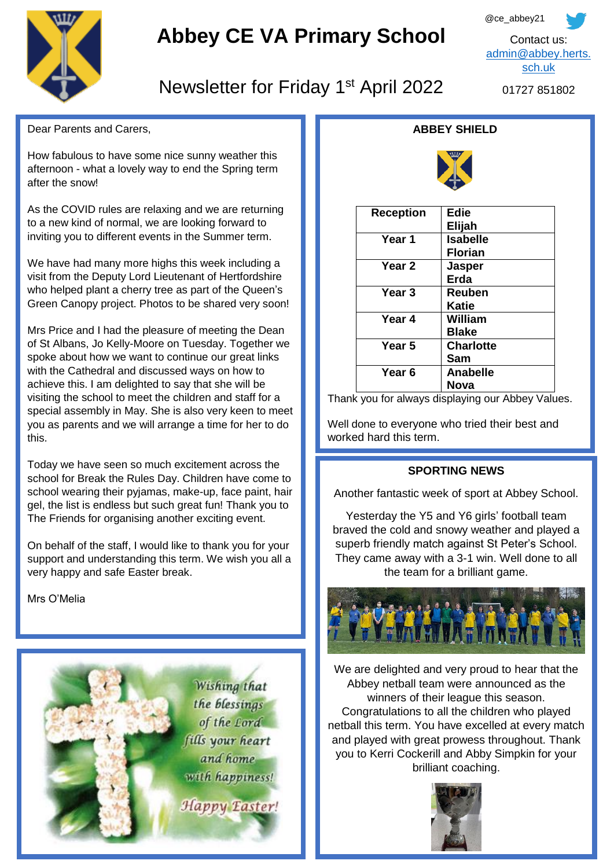

# **Abbey CE VA Primary School**

@ce\_abbey21

Contact us: [admin@abbey.herts.](mailto:admin@abbey.herts.sch.uk) [sch.uk](mailto:admin@abbey.herts.sch.uk)

# Newsletter for Friday 1<sup>st</sup> April 2022

01727 851802

Dear Parents and Carers,

How fabulous to have some nice sunny weather this afternoon - what a lovely way to end the Spring term after the snow!

As the COVID rules are relaxing and we are returning to a new kind of normal, we are looking forward to inviting you to different events in the Summer term.

We have had many more highs this week including a visit from the Deputy Lord Lieutenant of Hertfordshire who helped plant a cherry tree as part of the Queen's Green Canopy project. Photos to be shared very soon!

Mrs Price and I had the pleasure of meeting the Dean of St Albans, Jo Kelly-Moore on Tuesday. Together we spoke about how we want to continue our great links with the Cathedral and discussed ways on how to achieve this. I am delighted to say that she will be visiting the school to meet the children and staff for a special assembly in May. She is also very keen to meet you as parents and we will arrange a time for her to do this.

 The Friends for organising another exciting event. Today we have seen so much excitement across the school for Break the Rules Day. Children have come to school wearing their pyjamas, make-up, face paint, hair gel, the list is endless but such great fun! Thank you to

On behalf of the staff, I would like to thank you for your support and understanding this term. We wish you all a very happy and safe Easter break.

Mrs O'Melia



# **ABBEY SHIELD**



| <b>Reception</b>  | <b>Edie</b>      |
|-------------------|------------------|
|                   | Elijah           |
| Year 1            | <b>Isabelle</b>  |
|                   | <b>Florian</b>   |
| Year <sub>2</sub> | <b>Jasper</b>    |
|                   | Erda             |
| Year 3            | Reuben           |
|                   | Katie            |
| Year 4            | William          |
|                   | <b>Blake</b>     |
| Year <sub>5</sub> | <b>Charlotte</b> |
|                   | Sam              |
| Year <sub>6</sub> | Anabelle         |
|                   | Nova             |

Thank you for always displaying our Abbey Values.

Well done to everyone who tried their best and worked hard this term.

# **SPORTING NEWS**

Another fantastic week of sport at Abbey School.

Yesterday the Y5 and Y6 girls' football team braved the cold and snowy weather and played a superb friendly match against St Peter's School. They came away with a 3-1 win. Well done to all the team for a brilliant game.



We are delighted and very proud to hear that the Abbey netball team were announced as the winners of their league this season. Congratulations to all the children who played netball this term. You have excelled at every match and played with great prowess throughout. Thank you to Kerri Cockerill and Abby Simpkin for your brilliant coaching.

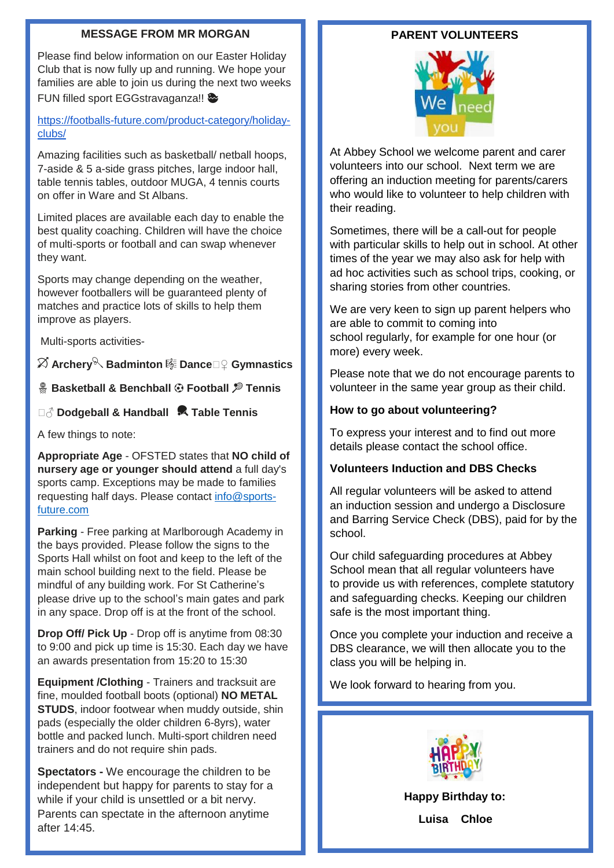### **MESSAGE FROM MR MORGAN**

Please find below information on our Easter Holiday Club that is now fully up and running. We hope your families are able to join us during the next two weeks FUN filled sport EGGstravaganza!!

[https://footballs-future.com/product-category/holiday](https://footballs-future.com/product-category/holiday-clubs/)[clubs/](https://footballs-future.com/product-category/holiday-clubs/)

Amazing facilities such as basketball/ netball hoops, 7-aside & 5 a-side grass pitches, large indoor hall, table tennis tables, outdoor MUGA, 4 tennis courts on offer in Ware and St Albans.

Limited places are available each day to enable the best quality coaching. Children will have the choice of multi-sports or football and can swap whenever they want.

Sports may change depending on the weather, however footballers will be guaranteed plenty of matches and practice lots of skills to help them improve as players.

Multi-sports activities-

# **Archery Badminton Dance**♀️ **Gymnastics**

## **Basketball & Benchball** ⚽️ **Football Tennis**

## ♂️ **Dodgeball & Handball Table Tennis**

A few things to note:

**Appropriate Age** - OFSTED states that **NO child of nursery age or younger should attend** a full day's sports camp. Exceptions may be made to families requesting half days. Please contact [info@sports](mailto:info@sports-future.com)[future.com](mailto:info@sports-future.com)

**Parking** - Free parking at Marlborough Academy in the bays provided. Please follow the signs to the Sports Hall whilst on foot and keep to the left of the main school building next to the field. Please be mindful of any building work. For St Catherine's please drive up to the school's main gates and park in any space. Drop off is at the front of the school.

**Drop Off/ Pick Up** - Drop off is anytime from 08:30 to 9:00 and pick up time is 15:30. Each day we have an awards presentation from 15:20 to 15:30

**Equipment /Clothing** - Trainers and tracksuit are fine, moulded football boots (optional) **NO METAL STUDS**, indoor footwear when muddy outside, shin pads (especially the older children 6-8yrs), water bottle and packed lunch. Multi-sport children need trainers and do not require shin pads.

**Spectators -** We encourage the children to be independent but happy for parents to stay for a while if your child is unsettled or a bit nervy. Parents can spectate in the afternoon anytime after 14:45.

## **PARENT VOLUNTEERS**



At Abbey School we welcome parent and carer volunteers into our school. Next term we are offering an induction meeting for parents/carers who would like to volunteer to help children with their reading.

Sometimes, there will be a call-out for people with particular skills to help out in school. At other times of the year we may also ask for help with ad hoc activities such as school trips, cooking, or sharing stories from other countries.

We are very keen to sign up parent helpers who are able to commit to coming into school regularly, for example for one hour (or more) every week.

Please note that we do not encourage parents to volunteer in the same year group as their child.

## **How to go about volunteering?**

To express your interest and to find out more details please contact the school office.

### **Volunteers Induction and DBS Checks**

All regular volunteers will be asked to attend an induction session and undergo a Disclosure and Barring Service Check (DBS), paid for by the school.

Our child safeguarding procedures at Abbey School mean that all regular volunteers have to provide us with references, complete statutory and safeguarding checks. Keeping our children safe is the most important thing.

Once you complete your induction and receive a DBS clearance, we will then allocate you to the class you will be helping in.

We look forward to hearing from you.



**Happy Birthday to:**

**Luisa Chloe**